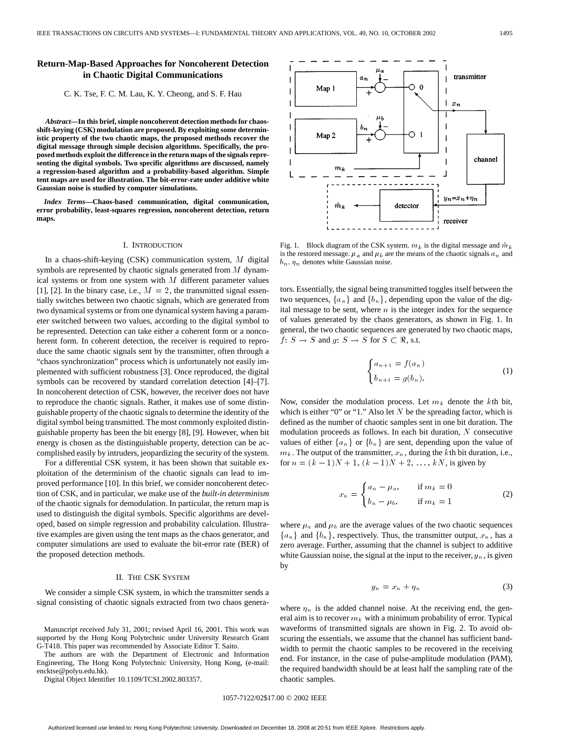## **Return-Map-Based Approaches for Noncoherent Detection in Chaotic Digital Communications**

C. K. Tse, F. C. M. Lau, K. Y. Cheong, and S. F. Hau

*Abstract—***In this brief, simple noncoherent detection methods for chaosshift-keying (CSK) modulation are proposed. By exploiting some deterministic property of the two chaotic maps, the proposed methods recover the digital message through simple decision algorithms. Specifically, the proposed methods exploit the difference in the return maps of the signals representing the digital symbols. Two specific algorithms are discussed, namely a regression-based algorithm and a probability-based algorithm. Simple tent maps are used for illustration. The bit-error-rate under additive white Gaussian noise is studied by computer simulations.**

*Index Terms—***Chaos-based communication, digital communication, error probability, least-squares regression, noncoherent detection, return maps.**

# I. INTRODUCTION

In a chaos-shift-keying (CSK) communication system, M digital symbols are represented by chaotic signals generated from M dynamical systems or from one system with  $M$  different parameter values [1], [2]. In the binary case, i.e.,  $M = 2$ , the transmitted signal essentially switches between two chaotic signals, which are generated from two dynamical systems or from one dynamical system having a parameter switched between two values, according to the digital symbol to be represented. Detection can take either a coherent form or a noncoherent form. In coherent detection, the receiver is required to reproduce the same chaotic signals sent by the transmitter, often through a "chaos synchronization" process which is unfortunately not easily implemented with sufficient robustness [3]. Once reproduced, the digital symbols can be recovered by standard correlation detection [4]–[7]. In noncoherent detection of CSK, however, the receiver does not have to reproduce the chaotic signals. Rather, it makes use of some distinguishable property of the chaotic signals to determine the identity of the digital symbol being transmitted. The most commonly exploited distinguishable property has been the bit energy [8], [9]. However, when bit energy is chosen as the distinguishable property, detection can be accomplished easily by intruders, jeopardizing the security of the system.

For a differential CSK system, it has been shown that suitable exploitation of the determinism of the chaotic signals can lead to improved performance [10]. In this brief, we consider noncoherent detection of CSK, and in particular, we make use of the *built-in determinism* of the chaotic signals for demodulation. In particular, the return map is used to distinguish the digital symbols. Specific algorithms are developed, based on simple regression and probability calculation. Illustrative examples are given using the tent maps as the chaos generator, and computer simulations are used to evaluate the bit-error rate (BER) of the proposed detection methods.

## II. THE CSK SYSTEM

We consider a simple CSK system, in which the transmitter sends a signal consisting of chaotic signals extracted from two chaos genera-

Manuscript received July 31, 2001; revised April 16, 2001. This work was supported by the Hong Kong Polytechnic under University Research Grant G-T418. This paper was recommended by Associate Editor T. Saito.

The authors are with the Department of Electronic and Information Engineering, The Hong Kong Polytechnic University, Hong Kong, (e-mail: encktse@polyu.edu.hk).

Digital Object Identifier 10.1109/TCSI.2002.803357.

transmitter Map 1  $\bf{0}$  $\overline{1}$  $\mathbf{I}$  $x_n$  $\mathbf{I}$ Map 2  $\mathbf{I}$ channel  $\overline{\phantom{a}}$  $m<sub>k</sub>$  $y_n = x_n + \eta_n$  $\hat{m}_k$ detector Fig. 1. Block diagram of the CSK system.  $m_k$  is the digital message and  $\hat{m}_k$ .

is the restored message.  $\mu_a$  and  $\mu_b$  are the means of the chaotic signals  $a_n$  and  $b_n$ .  $\eta_n$  denotes white Gaussian noise.

tors. Essentially, the signal being transmitted toggles itself between the two sequences,  $\{a_n\}$  and  $\{b_n\}$ , depending upon the value of the digital message to be sent, where  $n$  is the integer index for the sequence of values generated by the chaos generators, as shown in Fig. 1. In general, the two chaotic sequences are generated by two chaotic maps,  $f: S \to S$  and  $g: S \to S$  for  $S \subset \Re$ , s.t.

$$
\begin{cases}\n a_{n+1} = f(a_n) \\
 b_{n+1} = g(b_n).\n\end{cases} \tag{1}
$$

Now, consider the modulation process. Let  $m_k$  denote the kth bit, which is either "0" or "1." Also let  $N$  be the spreading factor, which is defined as the number of chaotic samples sent in one bit duration. The modulation proceeds as follows. In each bit duration,  $N$  consecutive values of either  $\{a_n\}$  or  $\{b_n\}$  are sent, depending upon the value of  $m_k$ . The output of the transmitter,  $x_n$ , during the kth bit duration, i.e., for  $n = (k - 1)N + 1$ ,  $(k - 1)N + 2$ , ..., kN, is given by

$$
x_n = \begin{cases} a_n - \mu_a, & \text{if } m_k = 0 \\ b_n - \mu_b, & \text{if } m_k = 1 \end{cases}
$$
 (2)

where  $\mu_a$  and  $\mu_b$  are the average values of the two chaotic sequences  ${a_n}$  and  ${b_n}$ , respectively. Thus, the transmitter output,  $x_n$ , has a zero average. Further, assuming that the channel is subject to additive white Gaussian noise, the signal at the input to the receiver,  $y_n$ , is given by

$$
y_n = x_n + \eta_n \tag{3}
$$

where  $\eta_n$  is the added channel noise. At the receiving end, the general aim is to recover  $m_k$  with a minimum probability of error. Typical waveforms of transmitted signals are shown in Fig. 2. To avoid obscuring the essentials, we assume that the channel has sufficient bandwidth to permit the chaotic samples to be recovered in the receiving end. For instance, in the case of pulse-amplitude modulation (PAM), the required bandwidth should be at least half the sampling rate of the chaotic samples.

1057-7122/02\$17.00 © 2002 IEEE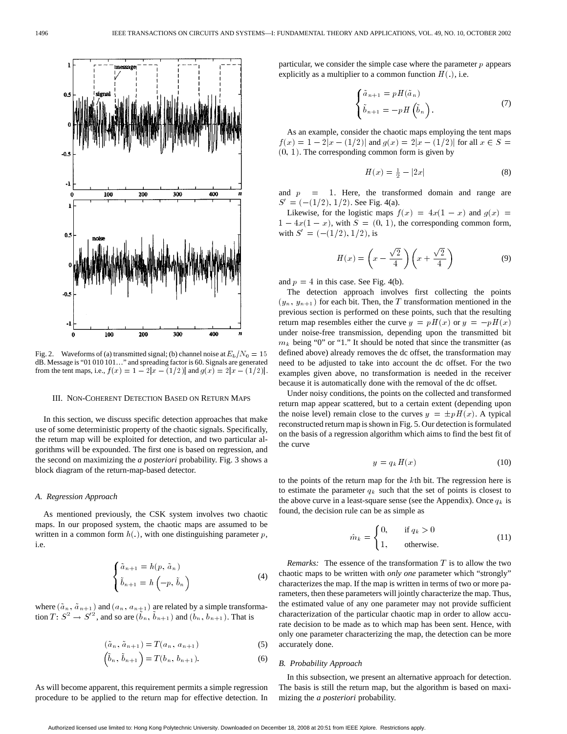

Fig. 2. Waveforms of (a) transmitted signal; (b) channel noise at  $E_b/N_0 = 15$ dB. Message is "01 010 101…" and spreading factor is 60. Signals are generated Fig. 2. Waveforms of (a) transmitted signal; (b) channel noise at  $E_b/N_0 = 15$  dB. Message is "01 010 101..." and spreading factor is 60. Signals are generated from the tent maps, i.e.,  $f(x) = 1 - 2|x - (1/2)|$  and  $g(x) = 2|x - (1/2$ 

#### III. NON-COHERENT DETECTION BASED ON RETURN MAPS

In this section, we discuss specific detection approaches that make use of some deterministic property of the chaotic signals. Specifically, the return map will be exploited for detection, and two particular algorithms will be expounded. The first one is based on regression, and the second on maximizing the *a posteriori* probability. Fig. 3 shows a block diagram of the return-map-based detector.

#### *A. Regression Approach*

As mentioned previously, the CSK system involves two chaotic maps. In our proposed system, the chaotic maps are assumed to be written in a common form  $h(.)$ , with one distinguishing parameter  $p$ , i.e.

$$
\begin{cases}\n\tilde{a}_{n+1} = h(p, \tilde{a}_n) \\
\tilde{b}_{n+1} = h(-p, \tilde{b}_n)\n\end{cases}
$$
\n(4)

where  $({\tilde a}_n,$   ${\tilde a}_{n+1})$  and  $(a_n, a_{n+1})$  are related by a simple transformation  $T: S^2 \to S'^2$ , and so are  $(\tilde{b}_n, \tilde{b}_{n+1})$  and  $(b_n, b_{n+1})$ . That is

$$
(\tilde{a}_n, \tilde{a}_{n+1}) = T(a_n, a_{n+1})
$$
\n(5)

$$
\left(\tilde{b}_n, \tilde{b}_{n+1}\right) = T(b_n, b_{n+1}).\tag{6}
$$

As will become apparent, this requirement permits a simple regression procedure to be applied to the return map for effective detection. In particular, we consider the simple case where the parameter  $p$  appears explicitly as a multiplier to a common function  $H(.)$ , i.e.

$$
\begin{cases}\n\tilde{a}_{n+1} = pH(\tilde{a}_n) \\
\tilde{b}_{n+1} = -pH(\tilde{b}_n)\n\end{cases} (7)
$$

As an example, consider the chaotic maps employing the tent maps  $f(x)=1 - 2|x - (1/2)|$  and  $g(x)=2|x - (1/2)|$  for all  $x \in S =$  $(0, 1)$ . The corresponding common form is given by

$$
H(x) = \frac{1}{2} - |2x| \tag{8}
$$

and  $p = 1$ . Here, the transformed domain and range are  $S' = (-(1/2), 1/2)$ . See Fig. 4(a).

Likewise, for the logistic maps  $f(x) = 4x(1 - x)$  and  $g(x) =$  $1 - 4x(1 - x)$ , with  $S = (0, 1)$ , the corresponding common form, with  $S' = (-(1/2), 1/2)$ , is

$$
H(x) = \left(x - \frac{\sqrt{2}}{4}\right)\left(x + \frac{\sqrt{2}}{4}\right) \tag{9}
$$

and  $p = 4$  in this case. See Fig. 4(b).

The detection approach involves first collecting the points  $(y_n, y_{n+1})$  for each bit. Then, the T transformation mentioned in the previous section is performed on these points, such that the resulting return map resembles either the curve  $y = pH(x)$  or  $y = -pH(x)$ under noise-free transmission, depending upon the transmitted bit  $m_k$  being "0" or "1." It should be noted that since the transmitter (as defined above) already removes the dc offset, the transformation may need to be adjusted to take into account the dc offset. For the two examples given above, no transformation is needed in the receiver because it is automatically done with the removal of the dc offset.

Under noisy conditions, the points on the collected and transformed return map appear scattered, but to a certain extent (depending upon the noise level) remain close to the curves  $y = \pm pH(x)$ . A typical reconstructed return map is shown in Fig. 5. Our detection is formulated on the basis of a regression algorithm which aims to find the best fit of the curve

$$
y = q_k H(x) \tag{10}
$$

to the points of the return map for the  $k$ th bit. The regression here is to estimate the parameter  $q_k$  such that the set of points is closest to the above curve in a least-square sense (see the Appendix). Once  $q_k$  is found, the decision rule can be as simple as

$$
\hat{m}_k = \begin{cases} 0, & \text{if } q_k > 0 \\ 1, & \text{otherwise.} \end{cases} \tag{11}
$$

*Remarks:* The essence of the transformation  $T$  is to allow the two chaotic maps to be written with *only one* parameter which "strongly" characterizes the map. If the map is written in terms of two or more parameters, then these parameters will jointly characterize the map. Thus, the estimated value of any one parameter may not provide sufficient characterization of the particular chaotic map in order to allow accurate decision to be made as to which map has been sent. Hence, with only one parameter characterizing the map, the detection can be more accurately done.

#### *B. Probability Approach*

In this subsection, we present an alternative approach for detection. The basis is still the return map, but the algorithm is based on maximizing the *a posteriori* probability.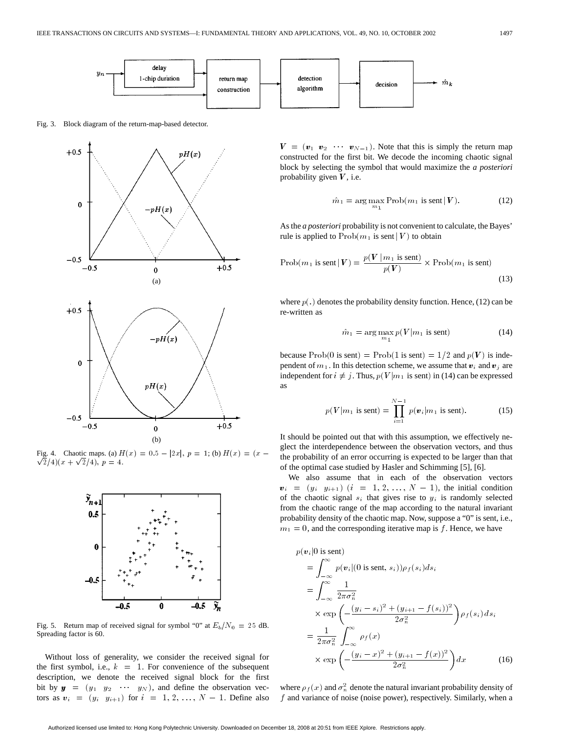

Fig. 3. Block diagram of the return-map-based detector.



 $\sqrt{2}/4$ )(x +  $\sqrt{2}/4$ ), p = 4.



Fig. 5. Return map of received signal for symbol "0" at  $E_b/N_0 = 25$  dB. Spreading factor is 60.

Without loss of generality, we consider the received signal for the first symbol, i.e.,  $k = 1$ . For convenience of the subsequent description, we denote the received signal block for the first bit by  $y = (y_1 \ y_2 \ \cdots \ y_N)$ , and define the observation vectors as  $v_i = (y_i \ y_{i+1})$  for  $i = 1, 2, ..., N - 1$ . Define also

 $V = (v_1 \ v_2 \ \cdots \ v_{N-1})$ . Note that this is simply the return map constructed for the first bit. We decode the incoming chaotic signal block by selecting the symbol that would maximize the *a posteriori* probability given  $V$ , i.e.

$$
\hat{m}_1 = \arg\max_{m_1} \text{Prob}(m_1 \text{ is sent} | V). \tag{12}
$$

As the *a posteriori* probability is not convenient to calculate, the Bayes' rule is applied to  $\mathrm{Prob}(m_1 \text{ is sent } | \textbf{V})$  to obtain

$$
Prob(m_1 \text{ is sent} | \mathbf{V}) = \frac{p(\mathbf{V} | m_1 \text{ is sent})}{p(\mathbf{V})} \times Prob(m_1 \text{ is sent})
$$
\n(13)

where  $p(.)$  denotes the probability density function. Hence, (12) can be re-written as

$$
\hat{m}_1 = \arg\max_{m_1} p(V|m_1 \text{ is sent}) \tag{14}
$$

because  $\text{Prob}(0 \text{ is sent}) = \text{Prob}(1 \text{ is sent})=1/2$  and  $p(V)$  is independent of  $m_1$ . In this detection scheme, we assume that  $v_i$  and  $v_j$  are independent for  $i \neq j$ . Thus,  $p(V | m_1$  is sent) in (14) can be expressed<br>as as

$$
p(V|m_1 \text{ is sent}) = \prod_{i=1}^{N-1} p(v_i|m_1 \text{ is sent}). \tag{15}
$$

It should be pointed out that with this assumption, we effectively neglect the interdependence between the observation vectors, and thus the probability of an error occurring is expected to be larger than that of the optimal case studied by Hasler and Schimming [5], [6].

We also assume that in each of the observation vectors  $v_i = (y_i \ y_{i+1}) \ (i = 1, 2, \ldots, N - 1)$ , the initial condition of the chaotic signal  $s_i$  that gives rise to  $y_i$  is randomly selected from the chaotic range of the map according to the natural invariant probability density of the chaotic map. Now, suppose a "0" is sent, i.e.,  $m_1 = 0$ , and the corresponding iterative map is f. Hence, we have

$$
p(\mathbf{v}_i|0 \text{ is sent})
$$
  
= 
$$
\int_{-\infty}^{\infty} p(\mathbf{v}_i|(0 \text{ is sent}, s_i)) \rho_f(s_i) ds_i
$$
  
= 
$$
\int_{-\infty}^{\infty} \frac{1}{2\pi \sigma_n^2}
$$
  

$$
\times \exp\left(-\frac{(y_i - s_i)^2 + (y_{i+1} - f(s_i))^2}{2\sigma_n^2}\right) \rho_f(s_i) ds_i
$$
  
= 
$$
\frac{1}{2\pi \sigma_n^2} \int_{-\infty}^{\infty} \rho_f(x)
$$
  

$$
\times \exp\left(-\frac{(y_i - x)^2 + (y_{i+1} - f(x))^2}{2\sigma_n^2}\right) dx
$$
 (16)

where  $\rho_f(x)$  and  $\sigma_n^2$  denote the natural invariant probability density of f and variance of noise (noise power), respectively. Similarly, when a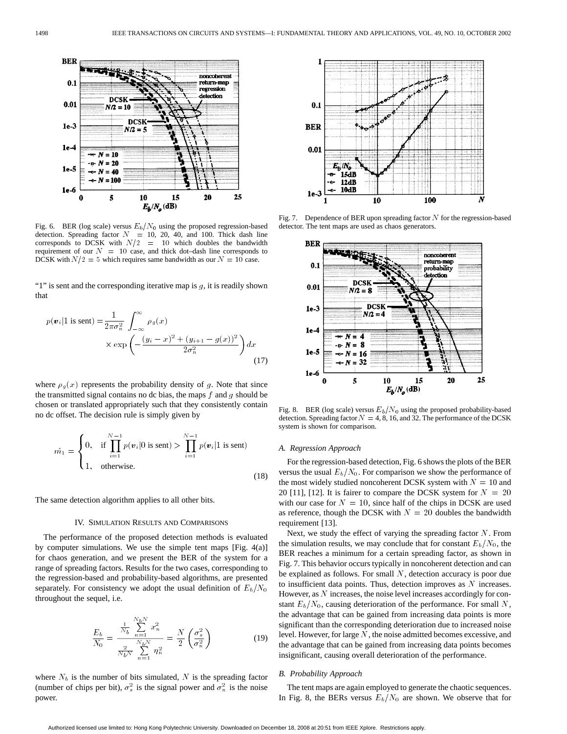

Fig. 6. BER (log scale) versus  $E_b/N_0$  using the proposed regression-based detection. Spreading factor  $N = 10$ , 20, 40, and 100. Thick dash line corresponds to DCSK with  $N/2 = 10$  which doubles the bandwidth requirement of our  $N = 10$  case, and thick dot–dash line corresponds to DCSK with  $N/2=5$  which requires same bandwidth as our  $N = 10$  case.

"1" is sent and the corresponding iterative map is  $g$ , it is readily shown that

$$
p(\mathbf{v}_i | 1 \text{ is sent}) = \frac{1}{2\pi\sigma_n^2} \int_{-\infty}^{\infty} \rho_g(x)
$$

$$
\times \exp\left(-\frac{(y_i - x)^2 + (y_{i+1} - g(x))^2}{2\sigma_n^2}\right) dx
$$
(17)

where  $\rho_q(x)$  represents the probability density of g. Note that since the transmitted signal contains no dc bias, the maps  $f$  and  $g$  should be chosen or translated appropriately such that they consistently contain no dc offset. The decision rule is simply given by

$$
\hat{m_1} = \begin{cases} 0, & \text{if } \prod_{i=1}^{N-1} p(v_i | 0 \text{ is sent}) > \prod_{i=1}^{N-1} p(v_i | 1 \text{ is sent}) \\ 1, & \text{otherwise.} \end{cases}
$$
(18)

The same detection algorithm applies to all other bits.

## IV. SIMULATION RESULTS AND COMPARISONS

The performance of the proposed detection methods is evaluated by computer simulations. We use the simple tent maps [Fig. 4(a)] for chaos generation, and we present the BER of the system for a range of spreading factors. Results for the two cases, corresponding to the regression-based and probability-based algorithms, are presented separately. For consistency we adopt the usual definition of  $E_b/N_0$ throughout the sequel, i.e.

$$
\frac{E_b}{N_0} = \frac{\frac{1}{N_b} \sum_{n=1}^{N_b N} x_n^2}{\frac{2}{N_b N} \sum_{n=1}^{N_b N} \eta_n^2} = \frac{N}{2} \left(\frac{\sigma_s^2}{\sigma_n^2}\right)
$$
(19)

where  $N_b$  is the number of bits simulated, N is the spreading factor (number of chips per bit),  $\sigma_s^2$  is the signal power and  $\sigma_n^2$  is the noise power.



Fig. 7. Dependence of BER upon spreading factor  $N$  for the regression-based detector. The tent maps are used as chaos generators.



Fig. 8. BER (log scale) versus  $E_b/N_0$  using the proposed probability-based detection. Spreading factor  $N = 4, 8, 16,$  and 32. The performance of the DCSK system is shown for comparison.

#### *A. Regression Approach*

For the regression-based detection, Fig. 6 shows the plots of the BER versus the usual  $E_b/N_0$ . For comparison we show the performance of the most widely studied noncoherent DCSK system with  $N = 10$  and 20 [11], [12]. It is fairer to compare the DCSK system for  $N = 20$ with our case for  $N = 10$ , since half of the chips in DCSK are used as reference, though the DCSK with  $N = 20$  doubles the bandwidth requirement [13].

Next, we study the effect of varying the spreading factor  $N$ . From the simulation results, we may conclude that for constant  $E_b/N_0$ , the BER reaches a minimum for a certain spreading factor, as shown in Fig. 7. This behavior occurs typically in noncoherent detection and can be explained as follows. For small  $N$ , detection accuracy is poor due to insufficient data points. Thus, detection improves as  $N$  increases. However, as N increases, the noise level increases accordingly for constant  $E_b/N_0$ , causing deterioration of the performance. For small N, the advantage that can be gained from increasing data points is more significant than the corresponding deterioration due to increased noise level. However, for large N, the noise admitted becomes excessive, and the advantage that can be gained from increasing data points becomes insignificant, causing overall deterioration of the performance.

## *B. Probability Approach*

The tent maps are again employed to generate the chaotic sequences. In Fig. 8, the BERs versus  $E_b/N_0$  are shown. We observe that for